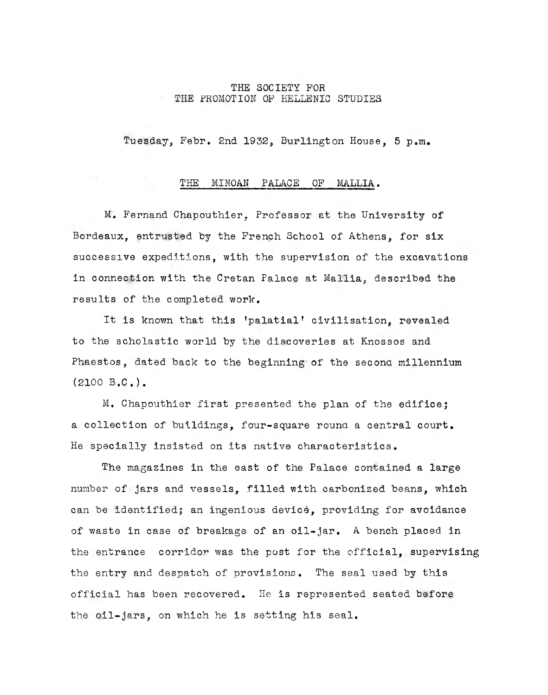## **THE SOCIETY FOR THE PROMOTION OF HELLENIC STUDIES**

**Tuesday, Febr. 2nd 1932, Burlington House, 5 p.m.**

## **THE MINOAN PALACE OF MALLIA.**

**M. Fernand Chapouthier, Professor at the University of Bordeaux, entrusted by the French School of Athens, for six successive expeditions, with the supervision of the excavations in connection with the Cretan Palace at Mallia, described the results of the completed work.**

**It is known that this fpalatial! civilisation, revealed to the scholastic world by the discoveries at Knossos and Phaestos, dated back to the beginning of the second millennium (2100 B.C.).**

**M. Chapouthier first presented the plan of the edifice5 a collection of buildings, four-square round a central court. He specially insisted on its native characteristics.**

**The magazines in the east of the Palace contained a large number of jars and vessels, filled with carbonized beans, which can be identified; an ingenious device, providing for avoidance of waste in case of breakage of an oil-jar. A bench placed in the entrance corridor was the post for the official, supervising the entry and despatch of provisions. The seal used by this official has been recovered. He is represented seated before the oil-jars, on which he is setting his seal.**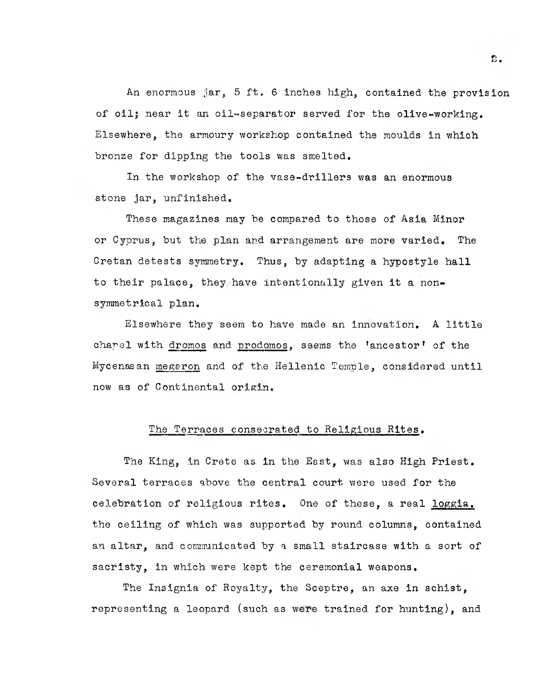**An enormous jar, 5 ft. 6 inches high, contained the provision of oils near it an oil-separator served for the olive-working• Elsewhere, the armoury workshop contained the moulds in which bronze for dipping the tools was smelted.**

**In the workshop of the vase-drillers was an enormous stone jar, unfinished.**

**These magazines may be compared to those of Asia Minor or Cyprus, but the plan and arrangement are more varied. The Cretan detests symmetry. Thus, by adapting a hypostyle hall to their palace, they have intentionally given it a nonsymmetrical plan.**

**Elsewhere they seem to have made an innovation. A little** chapel with dromos and prodomos, seems the 'ancestor' of the **Mycenaean megaron and of the Hellenic Temple, considered until now as of Continental orisin.**

## **The Terraces consecrated to Religious Rites•**

**The King, In Crete as in the East, was also High Priest, Several terraces above the central court were used for the celebration of religious rites. One of these, a real loggia. the ceiling of which was supported by round columns, contained an altar, and communicated by a small staircase with a sort of sacristy, in which were kept the ceremonial weapons.**

**The Insignia of Royalty, the Sceptre, an axe in schist, representing a leopard (such as were trained for hunting), and**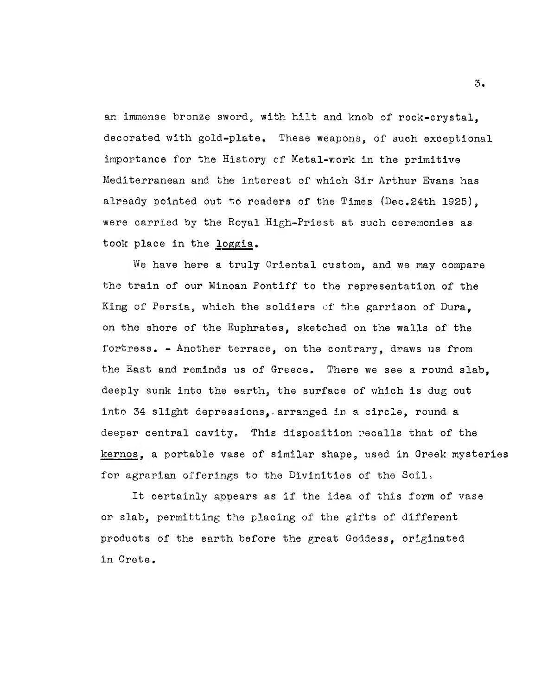**an immense bronze sword, with hilt and knob of rock-crystal, decorated with gold-plate. These weapons, of such exceptional importance for the History of Metal-v;ork in the primitive Mediterranean and the interest of which Sir Arthur Evans has already pointed out to readers of the Times (Dec.24th 1925), were carried by the Royal High-Priest at such ceremonies as took place in the loggia.**

**We have here a truly Oriental custom, and we may compare the train of our Minoan Pontiff to the representation of the King of Persia, which the soldiers of the garrison of Dura, on the shore of the Euphrates, sketched on the walls of the fortress. - Another terrace, on the contrary, draws us from the East and reminds us of Greece. There we see a round slab, deeply sunk into the earth, the surface of which is dug out into 34 slight depressions,. arranged in a circle, round a deeper central cavity. This disposition recalls that of the kernos c a portable vase of similar shape, used in Greek mysteries for agrarian offerings to the Divinities of the Soil,**

**It certainly appears as if the idea of this form of vase or slab, permitting the placing of the gifts of different products of the earth before the great Goddess, originated in Crete.**